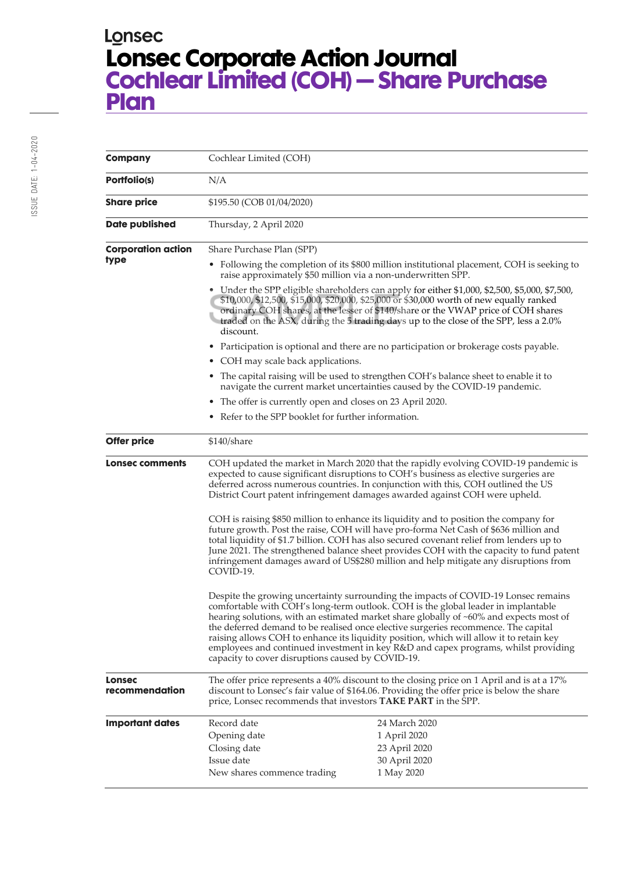## Lonsec **Lonsec Corporate Action Journal Cochlear Limited (COH) – Share Purchase Plan**

| <b>Company</b>                    | Cochlear Limited (COH)                                                                                                                                                                                                                                                                                                                                                                                                                                                                                                                                                                        |                                                                                      |
|-----------------------------------|-----------------------------------------------------------------------------------------------------------------------------------------------------------------------------------------------------------------------------------------------------------------------------------------------------------------------------------------------------------------------------------------------------------------------------------------------------------------------------------------------------------------------------------------------------------------------------------------------|--------------------------------------------------------------------------------------|
| Portfolio(s)                      | N/A                                                                                                                                                                                                                                                                                                                                                                                                                                                                                                                                                                                           |                                                                                      |
| <b>Share price</b>                | \$195.50 (COB 01/04/2020)                                                                                                                                                                                                                                                                                                                                                                                                                                                                                                                                                                     |                                                                                      |
| <b>Date published</b>             | Thursday, 2 April 2020                                                                                                                                                                                                                                                                                                                                                                                                                                                                                                                                                                        |                                                                                      |
| <b>Corporation action</b><br>type | Share Purchase Plan (SPP)                                                                                                                                                                                                                                                                                                                                                                                                                                                                                                                                                                     |                                                                                      |
|                                   | • Following the completion of its \$800 million institutional placement, COH is seeking to<br>raise approximately \$50 million via a non-underwritten SPP.                                                                                                                                                                                                                                                                                                                                                                                                                                    |                                                                                      |
|                                   | • Under the SPP eligible shareholders can apply for either \$1,000, \$2,500, \$5,000, \$7,500,<br>\$10,000, \$12,500, \$15,000, \$20,000, \$25,000 or \$30,000 worth of new equally ranked<br>ordinary COH shares, at the lesser of \$140/share or the VWAP price of COH shares<br>traded on the ASX, during the 5 trading days up to the close of the SPP, less a 2.0%<br>discount.                                                                                                                                                                                                          |                                                                                      |
|                                   | ٠                                                                                                                                                                                                                                                                                                                                                                                                                                                                                                                                                                                             | Participation is optional and there are no participation or brokerage costs payable. |
|                                   | COH may scale back applications.                                                                                                                                                                                                                                                                                                                                                                                                                                                                                                                                                              |                                                                                      |
|                                   | The capital raising will be used to strengthen COH's balance sheet to enable it to<br>٠<br>navigate the current market uncertainties caused by the COVID-19 pandemic.                                                                                                                                                                                                                                                                                                                                                                                                                         |                                                                                      |
|                                   | The offer is currently open and closes on 23 April 2020.<br>٠                                                                                                                                                                                                                                                                                                                                                                                                                                                                                                                                 |                                                                                      |
|                                   | Refer to the SPP booklet for further information.                                                                                                                                                                                                                                                                                                                                                                                                                                                                                                                                             |                                                                                      |
| <b>Offer price</b>                | $$140/s$ hare                                                                                                                                                                                                                                                                                                                                                                                                                                                                                                                                                                                 |                                                                                      |
| Lonsec comments                   | COH updated the market in March 2020 that the rapidly evolving COVID-19 pandemic is<br>expected to cause significant disruptions to COH's business as elective surgeries are<br>deferred across numerous countries. In conjunction with this, COH outlined the US<br>District Court patent infringement damages awarded against COH were upheld.                                                                                                                                                                                                                                              |                                                                                      |
|                                   | COH is raising \$850 million to enhance its liquidity and to position the company for<br>future growth. Post the raise, COH will have pro-forma Net Cash of \$636 million and<br>total liquidity of \$1.7 billion. COH has also secured covenant relief from lenders up to<br>June 2021. The strengthened balance sheet provides COH with the capacity to fund patent<br>infringement damages award of US\$280 million and help mitigate any disruptions from<br>COVID-19.                                                                                                                    |                                                                                      |
|                                   | Despite the growing uncertainty surrounding the impacts of COVID-19 Lonsec remains<br>comfortable with COH's long-term outlook. COH is the global leader in implantable<br>hearing solutions, with an estimated market share globally of ~60% and expects most of<br>the deferred demand to be realised once elective surgeries recommence. The capital<br>raising allows COH to enhance its liquidity position, which will allow it to retain key<br>employees and continued investment in key R&D and capex programs, whilst providing<br>capacity to cover disruptions caused by COVID-19. |                                                                                      |
| <b>Lonsec</b><br>recommendation   | The offer price represents a 40% discount to the closing price on 1 April and is at a 17%<br>discount to Lonsec's fair value of \$164.06. Providing the offer price is below the share<br>price, Lonsec recommends that investors TAKE PART in the SPP.                                                                                                                                                                                                                                                                                                                                       |                                                                                      |
| <b>Important dates</b>            | Record date<br>Opening date<br>Closing date<br>Issue date<br>New shares commence trading                                                                                                                                                                                                                                                                                                                                                                                                                                                                                                      | 24 March 2020<br>1 April 2020<br>23 April 2020<br>30 April 2020<br>1 May 2020        |